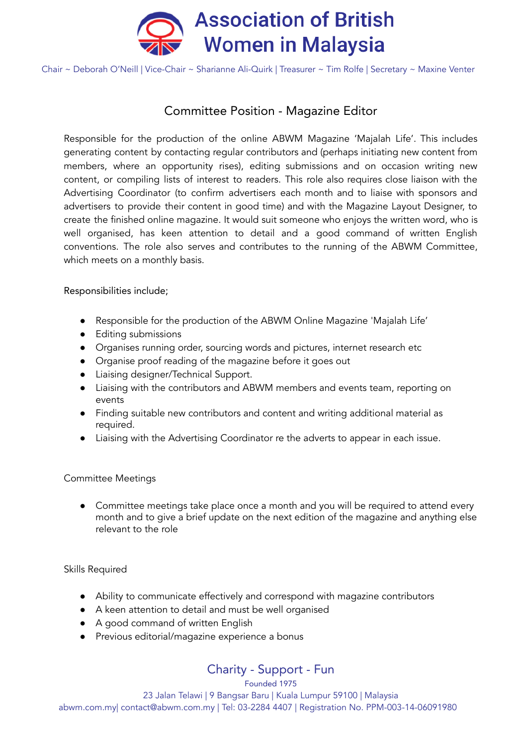

Chair ~ Deborah O'Neill | Vice-Chair ~ Sharianne Ali-Quirk | Treasurer ~ Tim Rolfe | Secretary ~ Maxine Venter

## Committee Position - Magazine Editor

Responsible for the production of the online ABWM Magazine 'Majalah Life'. This includes generating content by contacting regular contributors and (perhaps initiating new content from members, where an opportunity rises), editing submissions and on occasion writing new content, or compiling lists of interest to readers. This role also requires close liaison with the Advertising Coordinator (to confirm advertisers each month and to liaise with sponsors and advertisers to provide their content in good time) and with the Magazine Layout Designer, to create the finished online magazine. It would suit someone who enjoys the written word, who is well organised, has keen attention to detail and a good command of written English conventions. The role also serves and contributes to the running of the ABWM Committee, which meets on a monthly basis.

Responsibilities include;

- Responsible for the production of the ABWM Online Magazine 'Majalah Life'
- Editing submissions
- Organises running order, sourcing words and pictures, internet research etc
- Organise proof reading of the magazine before it goes out
- Liaising designer/Technical Support.
- Liaising with the contributors and ABWM members and events team, reporting on events
- Finding suitable new contributors and content and writing additional material as required.
- Liaising with the Advertising Coordinator re the adverts to appear in each issue.

## Committee Meetings

Committee meetings take place once a month and you will be required to attend every month and to give a brief update on the next edition of the magazine and anything else relevant to the role

Skills Required

- Ability to communicate effectively and correspond with magazine contributors
- A keen attention to detail and must be well organised
- A good command of written English
- Previous editorial/magazine experience a bonus

## Charity - Support - Fun